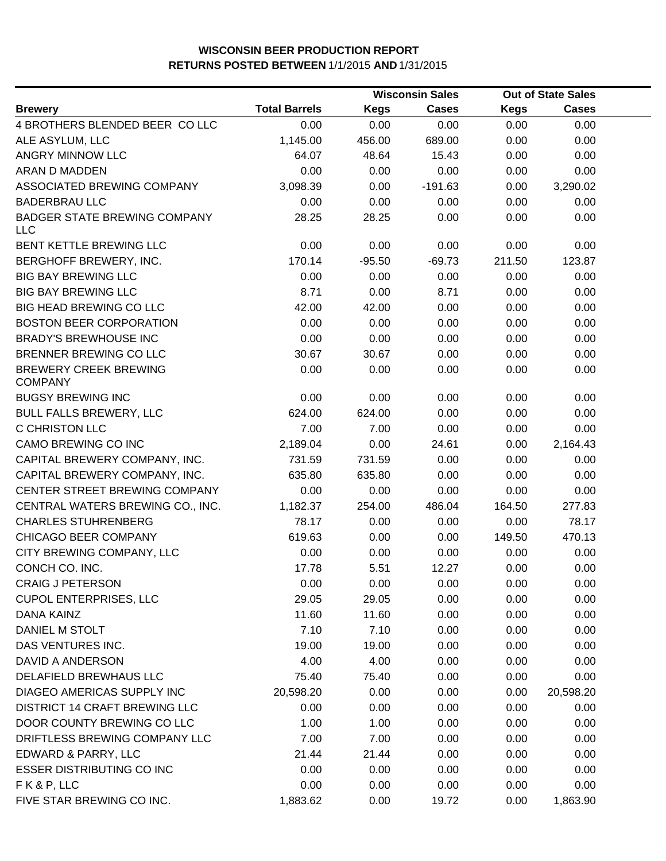|                                                |                      |             | <b>Wisconsin Sales</b> |             | <b>Out of State Sales</b> |  |
|------------------------------------------------|----------------------|-------------|------------------------|-------------|---------------------------|--|
| <b>Brewery</b>                                 | <b>Total Barrels</b> | <b>Kegs</b> | <b>Cases</b>           | <b>Kegs</b> | <b>Cases</b>              |  |
| 4 BROTHERS BLENDED BEER COLLC                  | 0.00                 | 0.00        | 0.00                   | 0.00        | 0.00                      |  |
| ALE ASYLUM, LLC                                | 1,145.00             | 456.00      | 689.00                 | 0.00        | 0.00                      |  |
| ANGRY MINNOW LLC                               | 64.07                | 48.64       | 15.43                  | 0.00        | 0.00                      |  |
| ARAN D MADDEN                                  | 0.00                 | 0.00        | 0.00                   | 0.00        | 0.00                      |  |
| ASSOCIATED BREWING COMPANY                     | 3,098.39             | 0.00        | $-191.63$              | 0.00        | 3,290.02                  |  |
| <b>BADERBRAU LLC</b>                           | 0.00                 | 0.00        | 0.00                   | 0.00        | 0.00                      |  |
| <b>BADGER STATE BREWING COMPANY</b><br>LLC     | 28.25                | 28.25       | 0.00                   | 0.00        | 0.00                      |  |
| BENT KETTLE BREWING LLC                        | 0.00                 | 0.00        | 0.00                   | 0.00        | 0.00                      |  |
| BERGHOFF BREWERY, INC.                         | 170.14               | $-95.50$    | $-69.73$               | 211.50      | 123.87                    |  |
| <b>BIG BAY BREWING LLC</b>                     | 0.00                 | 0.00        | 0.00                   | 0.00        | 0.00                      |  |
| <b>BIG BAY BREWING LLC</b>                     | 8.71                 | 0.00        | 8.71                   | 0.00        | 0.00                      |  |
| BIG HEAD BREWING CO LLC                        | 42.00                | 42.00       | 0.00                   | 0.00        | 0.00                      |  |
| <b>BOSTON BEER CORPORATION</b>                 | 0.00                 | 0.00        | 0.00                   | 0.00        | 0.00                      |  |
| <b>BRADY'S BREWHOUSE INC</b>                   | 0.00                 | 0.00        | 0.00                   | 0.00        | 0.00                      |  |
| BRENNER BREWING CO LLC                         | 30.67                | 30.67       | 0.00                   | 0.00        | 0.00                      |  |
| <b>BREWERY CREEK BREWING</b><br><b>COMPANY</b> | 0.00                 | 0.00        | 0.00                   | 0.00        | 0.00                      |  |
| <b>BUGSY BREWING INC</b>                       | 0.00                 | 0.00        | 0.00                   | 0.00        | 0.00                      |  |
| <b>BULL FALLS BREWERY, LLC</b>                 | 624.00               | 624.00      | 0.00                   | 0.00        | 0.00                      |  |
| C CHRISTON LLC                                 | 7.00                 | 7.00        | 0.00                   | 0.00        | 0.00                      |  |
| CAMO BREWING CO INC                            | 2,189.04             | 0.00        | 24.61                  | 0.00        | 2,164.43                  |  |
| CAPITAL BREWERY COMPANY, INC.                  | 731.59               | 731.59      | 0.00                   | 0.00        | 0.00                      |  |
| CAPITAL BREWERY COMPANY, INC.                  | 635.80               | 635.80      | 0.00                   | 0.00        | 0.00                      |  |
| CENTER STREET BREWING COMPANY                  | 0.00                 | 0.00        | 0.00                   | 0.00        | 0.00                      |  |
| CENTRAL WATERS BREWING CO., INC.               | 1,182.37             | 254.00      | 486.04                 | 164.50      | 277.83                    |  |
| <b>CHARLES STUHRENBERG</b>                     | 78.17                | 0.00        | 0.00                   | 0.00        | 78.17                     |  |
| CHICAGO BEER COMPANY                           | 619.63               | 0.00        | 0.00                   | 149.50      | 470.13                    |  |
| CITY BREWING COMPANY, LLC                      | 0.00                 | 0.00        | 0.00                   | 0.00        | 0.00                      |  |
| CONCH CO. INC.                                 | 17.78                | 5.51        | 12.27                  | 0.00        | 0.00                      |  |
| <b>CRAIG J PETERSON</b>                        | 0.00                 | 0.00        | 0.00                   | 0.00        | 0.00                      |  |
| <b>CUPOL ENTERPRISES, LLC</b>                  | 29.05                | 29.05       | 0.00                   | 0.00        | 0.00                      |  |
| DANA KAINZ                                     | 11.60                | 11.60       | 0.00                   | 0.00        | 0.00                      |  |
| DANIEL M STOLT                                 | 7.10                 | 7.10        | 0.00                   | 0.00        | 0.00                      |  |
| DAS VENTURES INC.                              | 19.00                | 19.00       | 0.00                   | 0.00        | 0.00                      |  |
| DAVID A ANDERSON                               | 4.00                 | 4.00        | 0.00                   | 0.00        | 0.00                      |  |
| DELAFIELD BREWHAUS LLC                         | 75.40                | 75.40       | 0.00                   | 0.00        | 0.00                      |  |
| DIAGEO AMERICAS SUPPLY INC                     | 20,598.20            | 0.00        | 0.00                   | 0.00        | 20,598.20                 |  |
| <b>DISTRICT 14 CRAFT BREWING LLC</b>           | 0.00                 | 0.00        | 0.00                   | 0.00        | 0.00                      |  |
| DOOR COUNTY BREWING CO LLC                     | 1.00                 | 1.00        | 0.00                   | 0.00        | 0.00                      |  |
| DRIFTLESS BREWING COMPANY LLC                  | 7.00                 | 7.00        | 0.00                   | 0.00        | 0.00                      |  |
| EDWARD & PARRY, LLC                            | 21.44                | 21.44       | 0.00                   | 0.00        | 0.00                      |  |
| <b>ESSER DISTRIBUTING CO INC</b>               | 0.00                 | 0.00        | 0.00                   | 0.00        | 0.00                      |  |
| FK&P, LLC                                      | 0.00                 | 0.00        | 0.00                   | 0.00        | 0.00                      |  |
| FIVE STAR BREWING CO INC.                      | 1,883.62             | 0.00        | 19.72                  | 0.00        | 1,863.90                  |  |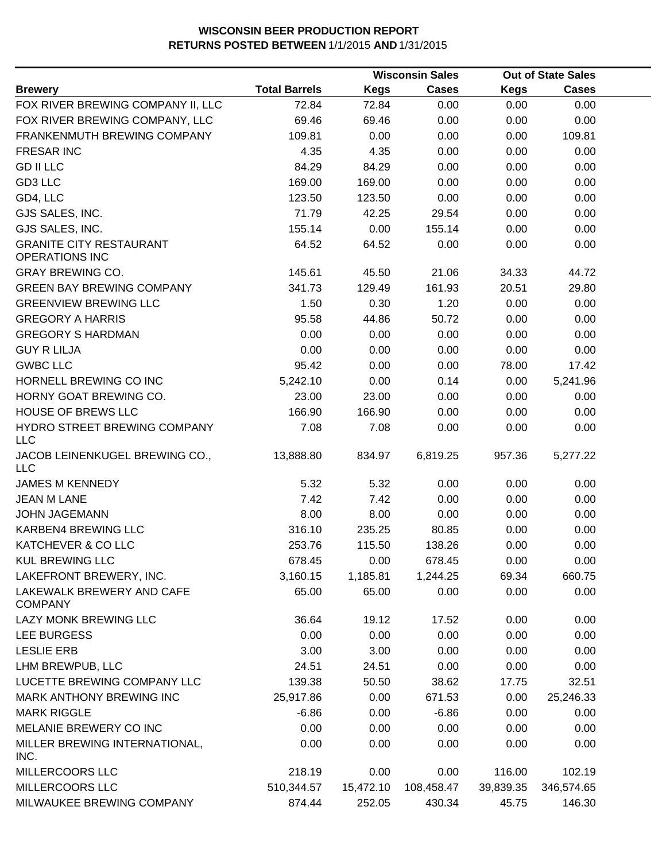|                                                         |                      |             | <b>Wisconsin Sales</b> |           | <b>Out of State Sales</b> |  |
|---------------------------------------------------------|----------------------|-------------|------------------------|-----------|---------------------------|--|
| <b>Brewery</b>                                          | <b>Total Barrels</b> | <b>Kegs</b> | <b>Cases</b>           | Kegs      | <b>Cases</b>              |  |
| FOX RIVER BREWING COMPANY II, LLC                       | 72.84                | 72.84       | 0.00                   | 0.00      | 0.00                      |  |
| FOX RIVER BREWING COMPANY, LLC                          | 69.46                | 69.46       | 0.00                   | 0.00      | 0.00                      |  |
| FRANKENMUTH BREWING COMPANY                             | 109.81               | 0.00        | 0.00                   | 0.00      | 109.81                    |  |
| <b>FRESAR INC</b>                                       | 4.35                 | 4.35        | 0.00                   | 0.00      | 0.00                      |  |
| <b>GD II LLC</b>                                        | 84.29                | 84.29       | 0.00                   | 0.00      | 0.00                      |  |
| GD3 LLC                                                 | 169.00               | 169.00      | 0.00                   | 0.00      | 0.00                      |  |
| GD4, LLC                                                | 123.50               | 123.50      | 0.00                   | 0.00      | 0.00                      |  |
| GJS SALES, INC.                                         | 71.79                | 42.25       | 29.54                  | 0.00      | 0.00                      |  |
| GJS SALES, INC.                                         | 155.14               | 0.00        | 155.14                 | 0.00      | 0.00                      |  |
| <b>GRANITE CITY RESTAURANT</b><br><b>OPERATIONS INC</b> | 64.52                | 64.52       | 0.00                   | 0.00      | 0.00                      |  |
| <b>GRAY BREWING CO.</b>                                 | 145.61               | 45.50       | 21.06                  | 34.33     | 44.72                     |  |
| <b>GREEN BAY BREWING COMPANY</b>                        | 341.73               | 129.49      | 161.93                 | 20.51     | 29.80                     |  |
| <b>GREENVIEW BREWING LLC</b>                            | 1.50                 | 0.30        | 1.20                   | 0.00      | 0.00                      |  |
| <b>GREGORY A HARRIS</b>                                 | 95.58                | 44.86       | 50.72                  | 0.00      | 0.00                      |  |
| <b>GREGORY S HARDMAN</b>                                | 0.00                 | 0.00        | 0.00                   | 0.00      | 0.00                      |  |
| <b>GUY R LILJA</b>                                      | 0.00                 | 0.00        | 0.00                   | 0.00      | 0.00                      |  |
| <b>GWBC LLC</b>                                         | 95.42                | 0.00        | 0.00                   | 78.00     | 17.42                     |  |
| HORNELL BREWING CO INC                                  | 5,242.10             | 0.00        | 0.14                   | 0.00      | 5,241.96                  |  |
| HORNY GOAT BREWING CO.                                  | 23.00                | 23.00       | 0.00                   | 0.00      | 0.00                      |  |
| HOUSE OF BREWS LLC                                      | 166.90               | 166.90      | 0.00                   | 0.00      | 0.00                      |  |
| HYDRO STREET BREWING COMPANY<br><b>LLC</b>              | 7.08                 | 7.08        | 0.00                   | 0.00      | 0.00                      |  |
| JACOB LEINENKUGEL BREWING CO.,<br>LLC                   | 13,888.80            | 834.97      | 6,819.25               | 957.36    | 5,277.22                  |  |
| <b>JAMES M KENNEDY</b>                                  | 5.32                 | 5.32        | 0.00                   | 0.00      | 0.00                      |  |
| <b>JEAN M LANE</b>                                      | 7.42                 | 7.42        | 0.00                   | 0.00      | 0.00                      |  |
| <b>JOHN JAGEMANN</b>                                    | 8.00                 | 8.00        | 0.00                   | 0.00      | 0.00                      |  |
| KARBEN4 BREWING LLC                                     | 316.10               | 235.25      | 80.85                  | 0.00      | 0.00                      |  |
| KATCHEVER & CO LLC                                      | 253.76               | 115.50      | 138.26                 | 0.00      | 0.00                      |  |
| <b>KUL BREWING LLC</b>                                  | 678.45               | 0.00        | 678.45                 | 0.00      | 0.00                      |  |
| LAKEFRONT BREWERY, INC.                                 | 3,160.15             | 1,185.81    | 1,244.25               | 69.34     | 660.75                    |  |
| LAKEWALK BREWERY AND CAFE<br><b>COMPANY</b>             | 65.00                | 65.00       | 0.00                   | 0.00      | 0.00                      |  |
| LAZY MONK BREWING LLC                                   | 36.64                | 19.12       | 17.52                  | 0.00      | 0.00                      |  |
| LEE BURGESS                                             | 0.00                 | 0.00        | 0.00                   | 0.00      | 0.00                      |  |
| <b>LESLIE ERB</b>                                       | 3.00                 | 3.00        | 0.00                   | 0.00      | 0.00                      |  |
| LHM BREWPUB, LLC                                        | 24.51                | 24.51       | 0.00                   | 0.00      | 0.00                      |  |
| LUCETTE BREWING COMPANY LLC                             | 139.38               | 50.50       | 38.62                  | 17.75     | 32.51                     |  |
| MARK ANTHONY BREWING INC                                | 25,917.86            | 0.00        | 671.53                 | 0.00      | 25,246.33                 |  |
| <b>MARK RIGGLE</b>                                      | $-6.86$              | 0.00        | $-6.86$                | 0.00      | 0.00                      |  |
| MELANIE BREWERY CO INC                                  | 0.00                 | 0.00        | 0.00                   | 0.00      | 0.00                      |  |
| MILLER BREWING INTERNATIONAL,<br>INC.                   | 0.00                 | 0.00        | 0.00                   | 0.00      | 0.00                      |  |
| MILLERCOORS LLC                                         | 218.19               | 0.00        | 0.00                   | 116.00    | 102.19                    |  |
| MILLERCOORS LLC                                         | 510,344.57           | 15,472.10   | 108,458.47             | 39,839.35 | 346,574.65                |  |
| MILWAUKEE BREWING COMPANY                               | 874.44               | 252.05      | 430.34                 | 45.75     | 146.30                    |  |
|                                                         |                      |             |                        |           |                           |  |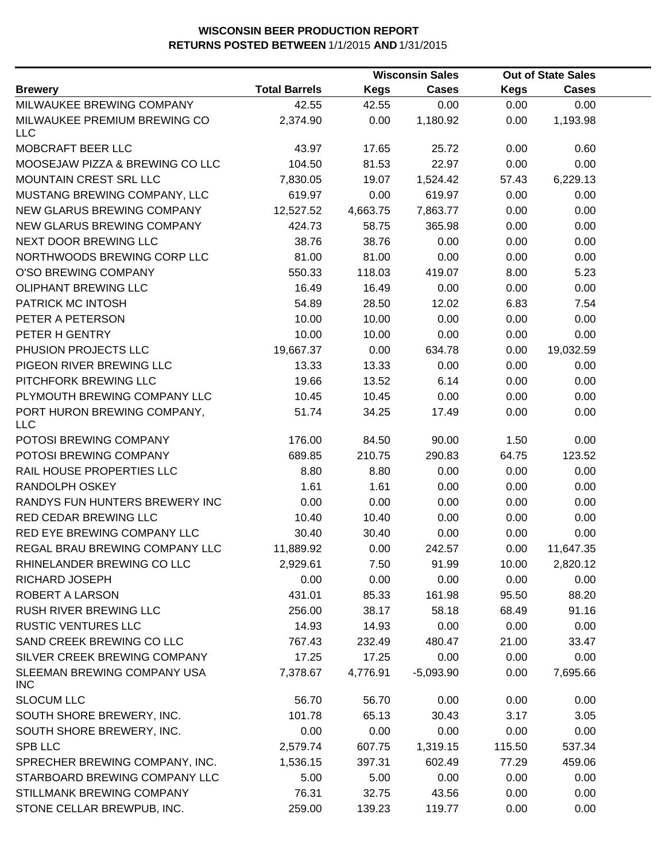|                                            |                      |             | <b>Wisconsin Sales</b> |             | <b>Out of State Sales</b> |  |
|--------------------------------------------|----------------------|-------------|------------------------|-------------|---------------------------|--|
| <b>Brewery</b>                             | <b>Total Barrels</b> | <b>Kegs</b> | <b>Cases</b>           | <b>Kegs</b> | <b>Cases</b>              |  |
| MILWAUKEE BREWING COMPANY                  | 42.55                | 42.55       | 0.00                   | 0.00        | 0.00                      |  |
| MILWAUKEE PREMIUM BREWING CO<br><b>LLC</b> | 2,374.90             | 0.00        | 1,180.92               | 0.00        | 1,193.98                  |  |
| MOBCRAFT BEER LLC                          | 43.97                | 17.65       | 25.72                  | 0.00        | 0.60                      |  |
| MOOSEJAW PIZZA & BREWING CO LLC            | 104.50               | 81.53       | 22.97                  | 0.00        | 0.00                      |  |
| MOUNTAIN CREST SRL LLC                     | 7,830.05             | 19.07       | 1,524.42               | 57.43       | 6,229.13                  |  |
| MUSTANG BREWING COMPANY, LLC               | 619.97               | 0.00        | 619.97                 | 0.00        | 0.00                      |  |
| NEW GLARUS BREWING COMPANY                 | 12,527.52            | 4,663.75    | 7,863.77               | 0.00        | 0.00                      |  |
| NEW GLARUS BREWING COMPANY                 | 424.73               | 58.75       | 365.98                 | 0.00        | 0.00                      |  |
| NEXT DOOR BREWING LLC                      | 38.76                | 38.76       | 0.00                   | 0.00        | 0.00                      |  |
| NORTHWOODS BREWING CORP LLC                | 81.00                | 81.00       | 0.00                   | 0.00        | 0.00                      |  |
| O'SO BREWING COMPANY                       | 550.33               | 118.03      | 419.07                 | 8.00        | 5.23                      |  |
| <b>OLIPHANT BREWING LLC</b>                | 16.49                | 16.49       | 0.00                   | 0.00        | 0.00                      |  |
| PATRICK MC INTOSH                          | 54.89                | 28.50       | 12.02                  | 6.83        | 7.54                      |  |
| PETER A PETERSON                           | 10.00                | 10.00       | 0.00                   | 0.00        | 0.00                      |  |
| PETER H GENTRY                             | 10.00                | 10.00       | 0.00                   | 0.00        | 0.00                      |  |
| PHUSION PROJECTS LLC                       | 19,667.37            | 0.00        | 634.78                 | 0.00        | 19,032.59                 |  |
| PIGEON RIVER BREWING LLC                   | 13.33                | 13.33       | 0.00                   | 0.00        | 0.00                      |  |
| PITCHFORK BREWING LLC                      | 19.66                | 13.52       | 6.14                   | 0.00        | 0.00                      |  |
| PLYMOUTH BREWING COMPANY LLC               | 10.45                | 10.45       | 0.00                   | 0.00        | 0.00                      |  |
| PORT HURON BREWING COMPANY,<br><b>LLC</b>  | 51.74                | 34.25       | 17.49                  | 0.00        | 0.00                      |  |
| POTOSI BREWING COMPANY                     | 176.00               | 84.50       | 90.00                  | 1.50        | 0.00                      |  |
| POTOSI BREWING COMPANY                     | 689.85               | 210.75      | 290.83                 | 64.75       | 123.52                    |  |
| RAIL HOUSE PROPERTIES LLC                  | 8.80                 | 8.80        | 0.00                   | 0.00        | 0.00                      |  |
| RANDOLPH OSKEY                             | 1.61                 | 1.61        | 0.00                   | 0.00        | 0.00                      |  |
| RANDYS FUN HUNTERS BREWERY INC             | 0.00                 | 0.00        | 0.00                   | 0.00        | 0.00                      |  |
| RED CEDAR BREWING LLC                      | 10.40                | 10.40       | 0.00                   | 0.00        | 0.00                      |  |
| RED EYE BREWING COMPANY LLC                | 30.40                | 30.40       | 0.00                   | 0.00        | 0.00                      |  |
| REGAL BRAU BREWING COMPANY LLC             | 11,889.92            | 0.00        | 242.57                 | 0.00        | 11,647.35                 |  |
| RHINELANDER BREWING CO LLC                 | 2,929.61             | 7.50        | 91.99                  | 10.00       | 2,820.12                  |  |
| RICHARD JOSEPH                             | 0.00                 | 0.00        | 0.00                   | 0.00        | 0.00                      |  |
| ROBERT A LARSON                            | 431.01               | 85.33       | 161.98                 | 95.50       | 88.20                     |  |
| RUSH RIVER BREWING LLC                     | 256.00               | 38.17       | 58.18                  | 68.49       | 91.16                     |  |
| <b>RUSTIC VENTURES LLC</b>                 | 14.93                | 14.93       | 0.00                   | 0.00        | 0.00                      |  |
| SAND CREEK BREWING CO LLC                  | 767.43               | 232.49      | 480.47                 | 21.00       | 33.47                     |  |
| SILVER CREEK BREWING COMPANY               | 17.25                | 17.25       | 0.00                   | 0.00        | 0.00                      |  |
| SLEEMAN BREWING COMPANY USA<br><b>INC</b>  | 7,378.67             | 4,776.91    | $-5,093.90$            | 0.00        | 7,695.66                  |  |
| <b>SLOCUM LLC</b>                          | 56.70                | 56.70       | 0.00                   | 0.00        | 0.00                      |  |
| SOUTH SHORE BREWERY, INC.                  | 101.78               | 65.13       | 30.43                  | 3.17        | 3.05                      |  |
| SOUTH SHORE BREWERY, INC.                  | 0.00                 | 0.00        | 0.00                   | 0.00        | 0.00                      |  |
| <b>SPB LLC</b>                             | 2,579.74             | 607.75      | 1,319.15               | 115.50      | 537.34                    |  |
| SPRECHER BREWING COMPANY, INC.             | 1,536.15             | 397.31      | 602.49                 | 77.29       | 459.06                    |  |
| STARBOARD BREWING COMPANY LLC              | 5.00                 | 5.00        | 0.00                   | 0.00        | 0.00                      |  |
| STILLMANK BREWING COMPANY                  | 76.31                | 32.75       | 43.56                  | 0.00        | 0.00                      |  |
| STONE CELLAR BREWPUB, INC.                 | 259.00               | 139.23      | 119.77                 | 0.00        | 0.00                      |  |